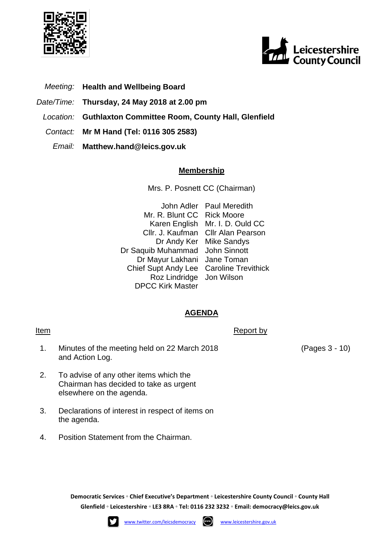



- *Meeting:* **Health and Wellbeing Board**
- *Date/Time:* **Thursday, 24 May 2018 at 2.00 pm**
- *Location:* **Guthlaxton Committee Room, County Hall, Glenfield**
- *Contact:* **Mr M Hand (Tel: 0116 305 2583)**
	- *Email:* **Matthew.hand@leics.gov.uk**

## **Membership**

Mrs. P. Posnett CC (Chairman)

John Adler Paul Meredith Mr. R. Blunt CC Rick Moore Karen English Mr. I. D. Ould CC Cllr. J. Kaufman Cllr Alan Pearson Dr Andy Ker Mike Sandys Dr Saquib Muhammad John Sinnott Dr Mayur Lakhani Jane Toman Chief Supt Andy Lee Caroline Trevithick Roz Lindridge Jon Wilson DPCC Kirk Master

## **AGENDA**

1. Minutes of the meeting held on 22 March 2018 and Action Log.

Item Report by Report by Report by Report by Report by Report by Report by Report by Report by  $\mathbb{R}$ 

- 2. To advise of any other items which the Chairman has decided to take as urgent elsewhere on the agenda.
- 3. Declarations of interest in respect of items on the agenda.
- 4. Position Statement from the Chairman.

(Pages 3 - 10)

**Democratic Services ◦ Chief Executive's Department ◦ Leicestershire County Council ◦ County Hall Glenfield ◦ Leicestershire ◦ LE3 8RA ◦ Tel: 0116 232 3232 ◦ Email: [democracy@leics.gov.uk](mailto:democracy@leics.gov.uk)**